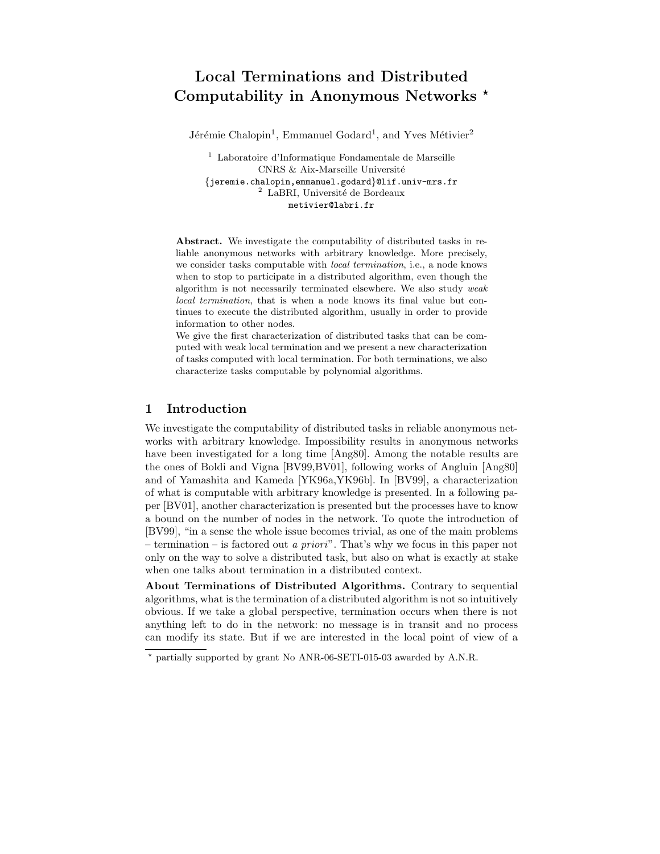# Local Terminations and Distributed Computability in Anonymous Networks  $\star$

Jérémie Chalopin<sup>1</sup>, Emmanuel Godard<sup>1</sup>, and Yves Métivier<sup>2</sup>

<sup>1</sup> Laboratoire d'Informatique Fondamentale de Marseille CNRS & Aix-Marseille Université {jeremie.chalopin,emmanuel.godard}@lif.univ-mrs.fr <sup>2</sup> LaBRI, Université de Bordeaux metivier@labri.fr

Abstract. We investigate the computability of distributed tasks in reliable anonymous networks with arbitrary knowledge. More precisely, we consider tasks computable with local termination, i.e., a node knows when to stop to participate in a distributed algorithm, even though the algorithm is not necessarily terminated elsewhere. We also study weak local termination, that is when a node knows its final value but continues to execute the distributed algorithm, usually in order to provide information to other nodes.

We give the first characterization of distributed tasks that can be computed with weak local termination and we present a new characterization of tasks computed with local termination. For both terminations, we also characterize tasks computable by polynomial algorithms.

# 1 Introduction

We investigate the computability of distributed tasks in reliable anonymous networks with arbitrary knowledge. Impossibility results in anonymous networks have been investigated for a long time [Ang80]. Among the notable results are the ones of Boldi and Vigna [BV99,BV01], following works of Angluin [Ang80] and of Yamashita and Kameda [YK96a,YK96b]. In [BV99], a characterization of what is computable with arbitrary knowledge is presented. In a following paper [BV01], another characterization is presented but the processes have to know a bound on the number of nodes in the network. To quote the introduction of [BV99], "in a sense the whole issue becomes trivial, as one of the main problems – termination – is factored out a priori". That's why we focus in this paper not only on the way to solve a distributed task, but also on what is exactly at stake when one talks about termination in a distributed context.

About Terminations of Distributed Algorithms. Contrary to sequential algorithms, what is the termination of a distributed algorithm is not so intuitively obvious. If we take a global perspective, termination occurs when there is not anything left to do in the network: no message is in transit and no process can modify its state. But if we are interested in the local point of view of a

 $\star$  partially supported by grant No ANR-06-SETI-015-03 awarded by A.N.R.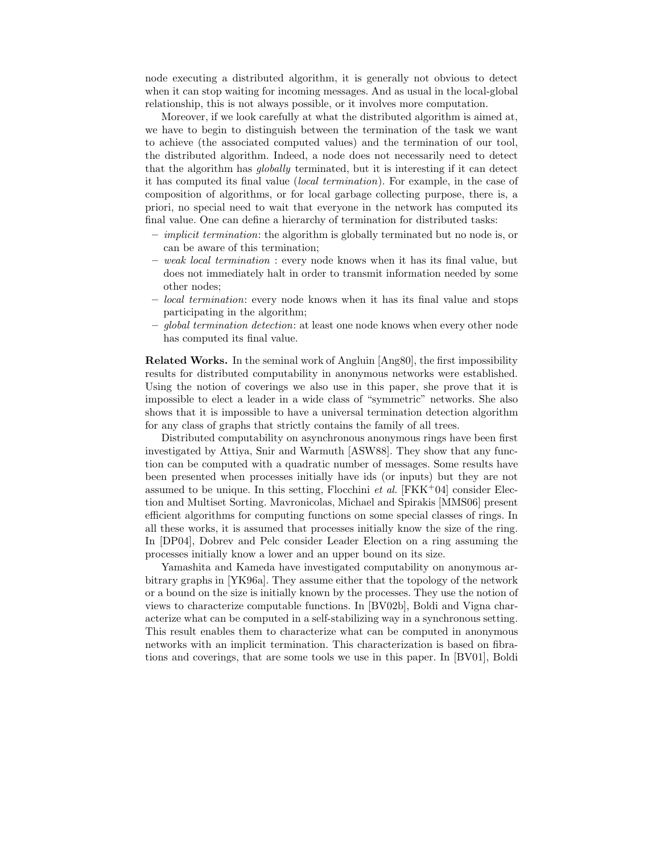node executing a distributed algorithm, it is generally not obvious to detect when it can stop waiting for incoming messages. And as usual in the local-global relationship, this is not always possible, or it involves more computation.

Moreover, if we look carefully at what the distributed algorithm is aimed at, we have to begin to distinguish between the termination of the task we want to achieve (the associated computed values) and the termination of our tool, the distributed algorithm. Indeed, a node does not necessarily need to detect that the algorithm has globally terminated, but it is interesting if it can detect it has computed its final value (local termination). For example, in the case of composition of algorithms, or for local garbage collecting purpose, there is, a priori, no special need to wait that everyone in the network has computed its final value. One can define a hierarchy of termination for distributed tasks:

- $-$  *implicit termination*: the algorithm is globally terminated but no node is, or can be aware of this termination;
- weak local termination : every node knows when it has its final value, but does not immediately halt in order to transmit information needed by some other nodes;
- local termination: every node knows when it has its final value and stops participating in the algorithm;
- global termination detection: at least one node knows when every other node has computed its final value.

Related Works. In the seminal work of Angluin [Ang80], the first impossibility results for distributed computability in anonymous networks were established. Using the notion of coverings we also use in this paper, she prove that it is impossible to elect a leader in a wide class of "symmetric" networks. She also shows that it is impossible to have a universal termination detection algorithm for any class of graphs that strictly contains the family of all trees.

Distributed computability on asynchronous anonymous rings have been first investigated by Attiya, Snir and Warmuth [ASW88]. They show that any function can be computed with a quadratic number of messages. Some results have been presented when processes initially have ids (or inputs) but they are not assumed to be unique. In this setting, Flocchini *et al.* [FKK<sup>+</sup>04] consider Election and Multiset Sorting. Mavronicolas, Michael and Spirakis [MMS06] present efficient algorithms for computing functions on some special classes of rings. In all these works, it is assumed that processes initially know the size of the ring. In [DP04], Dobrev and Pelc consider Leader Election on a ring assuming the processes initially know a lower and an upper bound on its size.

Yamashita and Kameda have investigated computability on anonymous arbitrary graphs in [YK96a]. They assume either that the topology of the network or a bound on the size is initially known by the processes. They use the notion of views to characterize computable functions. In [BV02b], Boldi and Vigna characterize what can be computed in a self-stabilizing way in a synchronous setting. This result enables them to characterize what can be computed in anonymous networks with an implicit termination. This characterization is based on fibrations and coverings, that are some tools we use in this paper. In [BV01], Boldi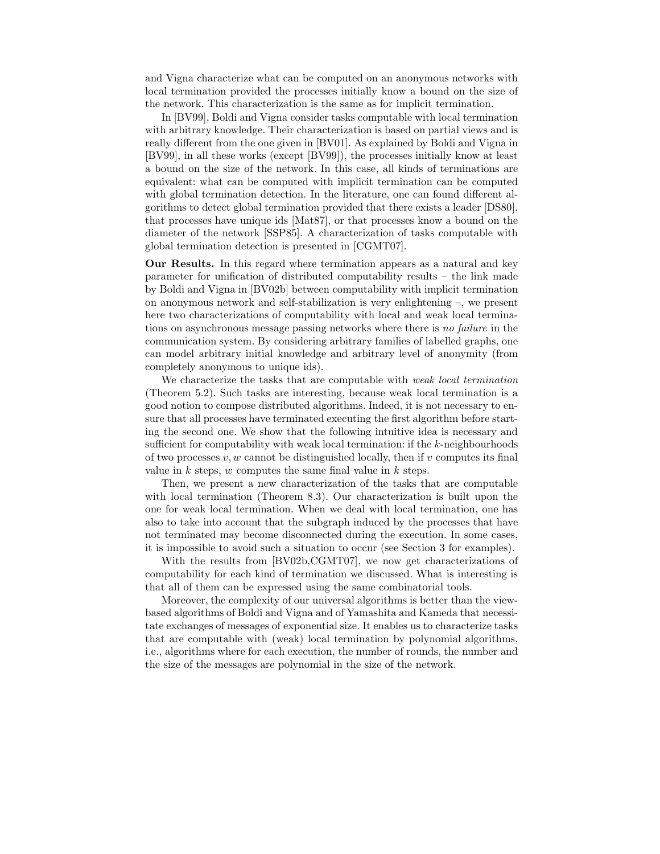and Vigna characterize what can be computed on an anonymous networks with local termination provided the processes initially know a bound on the size of the network. This characterization is the same as for implicit termination.

In [BV99], Boldi and Vigna consider tasks computable with local termination with arbitrary knowledge. Their characterization is based on partial views and is really different from the one given in [BV01]. As explained by Boldi and Vigna in [BV99], in all these works (except [BV99]), the processes initially know at least a bound on the size of the network. In this case, all kinds of terminations are equivalent: what can be computed with implicit termination can be computed with global termination detection. In the literature, one can found different algorithms to detect global termination provided that there exists a leader [DS80], that processes have unique ids [Mat87], or that processes know a bound on the diameter of the network [SSP85]. A characterization of tasks computable with global termination detection is presented in [CGMT07].

Our Results. In this regard where termination appears as a natural and key parameter for unification of distributed computability results – the link made by Boldi and Vigna in [BV02b] between computability with implicit termination on anonymous network and self-stabilization is very enlightening –, we present here two characterizations of computability with local and weak local terminations on asynchronous message passing networks where there is no failure in the communication system. By considering arbitrary families of labelled graphs, one can model arbitrary initial knowledge and arbitrary level of anonymity (from completely anonymous to unique ids).

We characterize the tasks that are computable with weak local termination (Theorem 5.2). Such tasks are interesting, because weak local termination is a good notion to compose distributed algorithms. Indeed, it is not necessary to ensure that all processes have terminated executing the first algorithm before starting the second one. We show that the following intuitive idea is necessary and sufficient for computability with weak local termination: if the  $k$ -neighbourhoods of two processes  $v, w$  cannot be distinguished locally, then if v computes its final value in  $k$  steps,  $w$  computes the same final value in  $k$  steps.

Then, we present a new characterization of the tasks that are computable with local termination (Theorem 8.3). Our characterization is built upon the one for weak local termination. When we deal with local termination, one has also to take into account that the subgraph induced by the processes that have not terminated may become disconnected during the execution. In some cases, it is impossible to avoid such a situation to occur (see Section 3 for examples).

With the results from [BV02b,CGMT07], we now get characterizations of computability for each kind of termination we discussed. What is interesting is that all of them can be expressed using the same combinatorial tools.

Moreover, the complexity of our universal algorithms is better than the viewbased algorithms of Boldi and Vigna and of Yamashita and Kameda that necessitate exchanges of messages of exponential size. It enables us to characterize tasks that are computable with (weak) local termination by polynomial algorithms, i.e., algorithms where for each execution, the number of rounds, the number and the size of the messages are polynomial in the size of the network.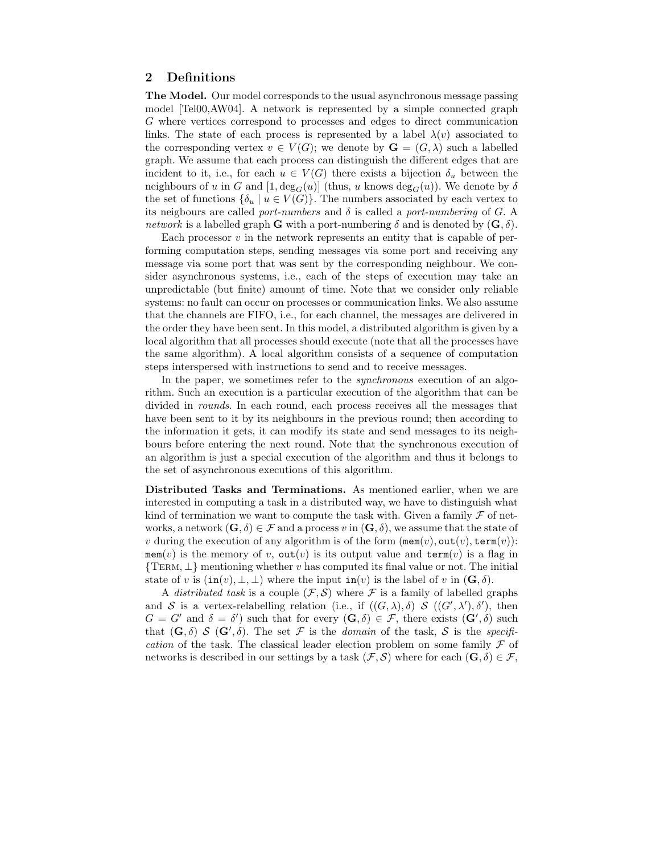# 2 Definitions

The Model. Our model corresponds to the usual asynchronous message passing model [Tel00,AW04]. A network is represented by a simple connected graph G where vertices correspond to processes and edges to direct communication links. The state of each process is represented by a label  $\lambda(v)$  associated to the corresponding vertex  $v \in V(G)$ ; we denote by  $\mathbf{G} = (G, \lambda)$  such a labelled graph. We assume that each process can distinguish the different edges that are incident to it, i.e., for each  $u \in V(G)$  there exists a bijection  $\delta_u$  between the neighbours of u in G and  $[1, \deg_G(u)]$  (thus, u knows  $\deg_G(u)$ ). We denote by  $\delta$ the set of functions  $\{\delta_u \mid u \in V(G)\}$ . The numbers associated by each vertex to its neigbours are called *port-numbers* and  $\delta$  is called a *port-numbering* of G. A network is a labelled graph **G** with a port-numbering  $\delta$  and is denoted by  $(G, \delta)$ .

Each processor  $v$  in the network represents an entity that is capable of performing computation steps, sending messages via some port and receiving any message via some port that was sent by the corresponding neighbour. We consider asynchronous systems, i.e., each of the steps of execution may take an unpredictable (but finite) amount of time. Note that we consider only reliable systems: no fault can occur on processes or communication links. We also assume that the channels are FIFO, i.e., for each channel, the messages are delivered in the order they have been sent. In this model, a distributed algorithm is given by a local algorithm that all processes should execute (note that all the processes have the same algorithm). A local algorithm consists of a sequence of computation steps interspersed with instructions to send and to receive messages.

In the paper, we sometimes refer to the *synchronous* execution of an algorithm. Such an execution is a particular execution of the algorithm that can be divided in rounds. In each round, each process receives all the messages that have been sent to it by its neighbours in the previous round; then according to the information it gets, it can modify its state and send messages to its neighbours before entering the next round. Note that the synchronous execution of an algorithm is just a special execution of the algorithm and thus it belongs to the set of asynchronous executions of this algorithm.

Distributed Tasks and Terminations. As mentioned earlier, when we are interested in computing a task in a distributed way, we have to distinguish what kind of termination we want to compute the task with. Given a family  $\mathcal F$  of networks, a network  $(G, \delta) \in \mathcal{F}$  and a process v in  $(G, \delta)$ , we assume that the state of v during the execution of any algorithm is of the form  $(\text{mem}(v), \text{out}(v), \text{term}(v))$ : mem $(v)$  is the memory of v, out  $(v)$  is its output value and term $(v)$  is a flag in  $\{TERM, \perp\}$  mentioning whether v has computed its final value or not. The initial state of v is  $(in(v), \perp, \perp)$  where the input  $in(v)$  is the label of v in  $(G, \delta)$ .

A distributed task is a couple  $(\mathcal{F}, \mathcal{S})$  where  $\mathcal F$  is a family of labelled graphs and S is a vertex-relabelling relation (i.e., if  $((G, \lambda), \delta)$  S  $((G', \lambda'), \delta')$ , then  $G = G'$  and  $\delta = \delta'$  such that for every  $(G, \delta) \in \mathcal{F}$ , there exists  $(G', \delta)$  such that  $(G, \delta)$  S  $(G', \delta)$ . The set F is the *domain* of the task, S is the *specifi*cation of the task. The classical leader election problem on some family  $\mathcal F$  of networks is described in our settings by a task  $(\mathcal{F}, \mathcal{S})$  where for each  $(\mathbf{G}, \delta) \in \mathcal{F}$ ,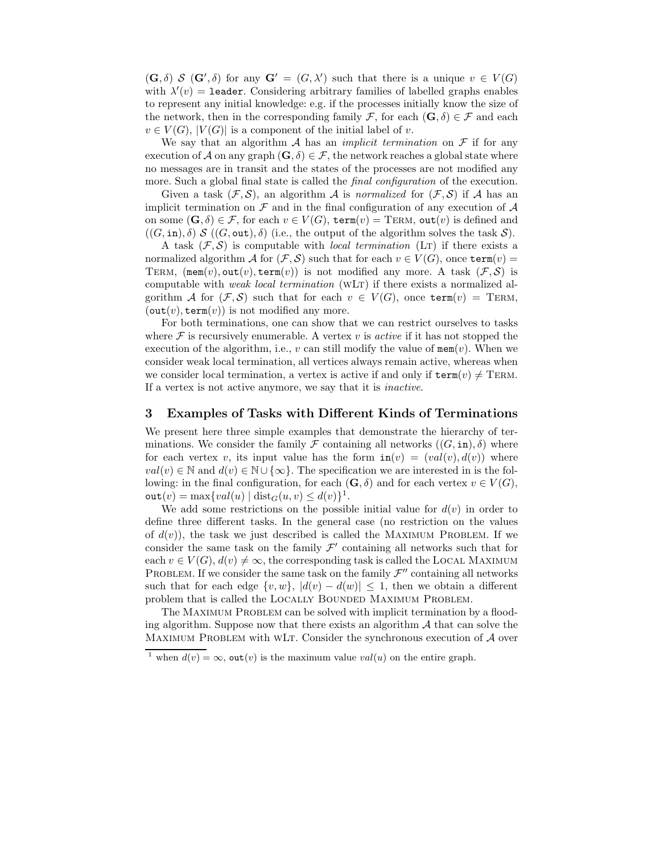$(G, \delta)$  S  $(G', \delta)$  for any  $G' = (G, \lambda')$  such that there is a unique  $v \in V(G)$ with  $\lambda'(v)$  = leader. Considering arbitrary families of labelled graphs enables to represent any initial knowledge: e.g. if the processes initially know the size of the network, then in the corresponding family F, for each  $(G, \delta) \in \mathcal{F}$  and each  $v \in V(G)$ ,  $|V(G)|$  is a component of the initial label of v.

We say that an algorithm  $A$  has an *implicit termination* on  $F$  if for any execution of A on any graph  $(G, \delta) \in \mathcal{F}$ , the network reaches a global state where no messages are in transit and the states of the processes are not modified any more. Such a global final state is called the *final configuration* of the execution.

Given a task  $(\mathcal{F}, \mathcal{S})$ , an algorithm A is normalized for  $(\mathcal{F}, \mathcal{S})$  if A has an implicit termination on  $\mathcal F$  and in the final configuration of any execution of  $\mathcal A$ on some  $(G, \delta) \in \mathcal{F}$ , for each  $v \in V(G)$ , term $(v) = \text{TERM}$ , out $(v)$  is defined and  $((G, \text{in}), \delta)$   $S$   $((G, \text{out}), \delta)$  (i.e., the output of the algorithm solves the task  $S$ ).

A task  $(F, S)$  is computable with *local termination* (LT) if there exists a normalized algorithm A for  $(\mathcal{F}, \mathcal{S})$  such that for each  $v \in V(G)$ , once term $(v)$ TERM,  $(\text{mem}(v), \text{out}(v), \text{term}(v))$  is not modified any more. A task  $(\mathcal{F}, \mathcal{S})$  is computable with weak local termination (wLt) if there exists a normalized algorithm A for  $(\mathcal{F}, \mathcal{S})$  such that for each  $v \in V(G)$ , once  $\texttt{term}(v) = \texttt{Term},$  $(\text{out}(v), \text{term}(v))$  is not modified any more.

For both terminations, one can show that we can restrict ourselves to tasks where  $\mathcal F$  is recursively enumerable. A vertex v is *active* if it has not stopped the execution of the algorithm, i.e.,  $v$  can still modify the value of  $\text{mem}(v)$ . When we consider weak local termination, all vertices always remain active, whereas when we consider local termination, a vertex is active if and only if  $\texttt{term}(v) \neq \texttt{Term}$ . If a vertex is not active anymore, we say that it is inactive.

#### 3 Examples of Tasks with Different Kinds of Terminations

We present here three simple examples that demonstrate the hierarchy of terminations. We consider the family  $\mathcal F$  containing all networks  $((G, \text{in}), \delta)$  where for each vertex v, its input value has the form  $in(v) = (val(v), d(v))$  where  $val(v) \in \mathbb{N}$  and  $d(v) \in \mathbb{N} \cup \{\infty\}$ . The specification we are interested in is the following: in the final configuration, for each  $(G, \delta)$  and for each vertex  $v \in V(G)$ ,  $\text{out}(v) = \max\{val(u) | \text{dist}_G(u, v) \leq d(v)\}^1.$ 

We add some restrictions on the possible initial value for  $d(v)$  in order to define three different tasks. In the general case (no restriction on the values of  $d(v)$ , the task we just described is called the MAXIMUM PROBLEM. If we consider the same task on the family  $\mathcal{F}'$  containing all networks such that for each  $v \in V(G)$ ,  $d(v) \neq \infty$ , the corresponding task is called the LOCAL MAXIMUM PROBLEM. If we consider the same task on the family  $\mathcal{F}''$  containing all networks such that for each edge  $\{v, w\}$ ,  $|d(v) - d(w)| \leq 1$ , then we obtain a different problem that is called the LOCALLY BOUNDED MAXIMUM PROBLEM.

The MAXIMUM PROBLEM can be solved with implicit termination by a flooding algorithm. Suppose now that there exists an algorithm  $A$  that can solve the MAXIMUM PROBLEM with WLT. Consider the synchronous execution of  $A$  over

<sup>&</sup>lt;sup>1</sup> when  $d(v) = \infty$ , out  $(v)$  is the maximum value  $val(u)$  on the entire graph.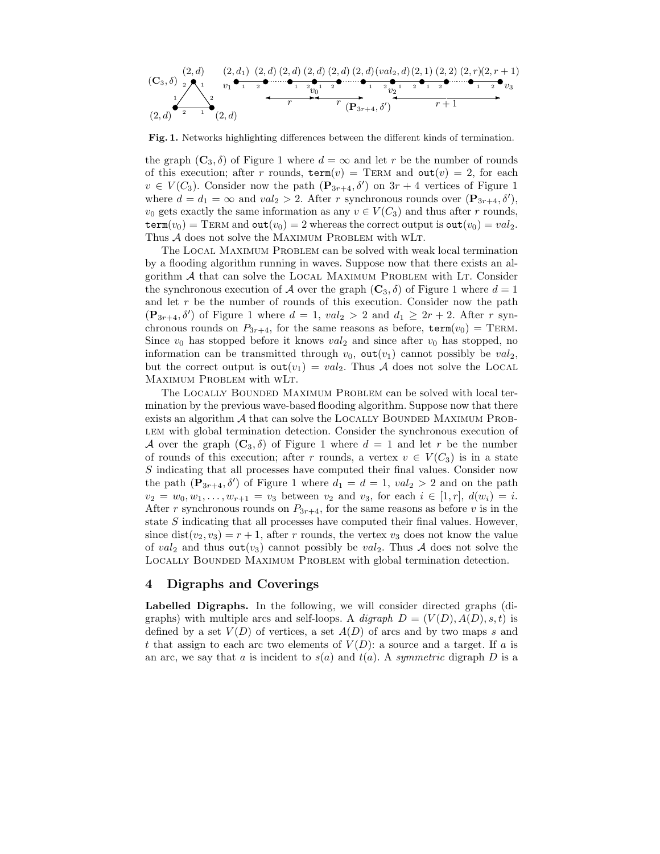$$
(C_3, \delta) \sum_{2}^{(2, d)} \underbrace{(2, d)}_{v_1} \underbrace{(2, d)}_{1} \underbrace{(2, d)}_{2} \underbrace{(2, d)}_{1} \underbrace{(2, d)}_{2} \underbrace{(2, d)}_{1} \underbrace{(2, d)}_{2} \underbrace{(2, d)}_{1} \underbrace{(2, d)}_{2} \underbrace{(2, d)}_{2} \underbrace{(2, d)}_{2} \underbrace{(2, d)}_{2} \underbrace{(2, d)}_{2} \underbrace{(2, d)}_{2} \underbrace{(2, d)}_{1} \underbrace{(2, d)}_{2} \underbrace{(2, d)}_{1} \underbrace{(2, d)}_{1} \underbrace{(2, d)}_{1} \underbrace{(2, d)}_{1} \underbrace{(2, d)}_{1} \underbrace{(2, d)}_{1} \underbrace{(2, d)}_{1} \underbrace{(2, d)}_{1} \underbrace{(2, d)}_{1} \underbrace{(2, d)}_{1} \underbrace{(2, d)}_{1} \underbrace{(2, d)}_{1} \underbrace{(2, d)}_{1} \underbrace{(2, d)}_{1} \underbrace{(2, d)}_{1} \underbrace{(2, d)}_{1} \underbrace{(2, d)}_{1} \underbrace{(2, d)}_{1} \underbrace{(2, d)}_{1} \underbrace{(2, d)}_{1} \underbrace{(2, d)}_{1} \underbrace{(2, d)}_{1} \underbrace{(2, d)}_{1} \underbrace{(2, d)}_{1} \underbrace{(2, d)}_{1} \underbrace{(2, d)}_{1} \underbrace{(2, d)}_{1} \underbrace{(2, d)}_{1} \underbrace{(2, d)}_{1} \underbrace{(2, d)}_{1} \underbrace{(2, d)}_{1} \underbrace{(2, d)}_{1} \underbrace{(2, d)}_{1} \underbrace{(2, d)}_{1} \underbrace{(2, d)}_{1} \underbrace{(2, d)}_{1} \underbrace{(2, d)}_{1} \underbrace{(2, d)}_{1} \underbrace{(2, d)}_{1} \underbrace{(2, d)}_{1} \underbrace{(2, d)}_{1} \underbrace{(2, d)}_{1} \underbrace{(2, d)}_{1} \underbrace{(2, d)}_{1} \underbrace{(2, d)}_{1} \underbrace{(2, d)}_{1} \underbrace{(2, d)}_{1} \underbrace{(2, d)}_{1} \underbrace{(2, d)}_{1} \underbrace{(2, d)}_{1} \underbrace{(2, d)}_{1} \under
$$

Fig. 1. Networks highlighting differences between the different kinds of termination.

the graph  $(C_3, \delta)$  of Figure 1 where  $d = \infty$  and let r be the number of rounds of this execution; after r rounds,  $term(v) = Term$  and  $out(v) = 2$ , for each  $v \in V(C_3)$ . Consider now the path  $(\mathbf{P}_{3r+4}, \delta')$  on  $3r+4$  vertices of Figure 1 where  $d = d_1 = \infty$  and  $val_2 > 2$ . After r synchronous rounds over  $(\mathbf{P}_{3r+4}, \delta')$ ,  $v_0$  gets exactly the same information as any  $v \in V(C_3)$  and thus after r rounds,  $\texttt{term}(v_0) = \text{TERM}$  and  $\texttt{out}(v_0) = 2$  whereas the correct output is  $\texttt{out}(v_0) = val_2$ . Thus  $A$  does not solve the MAXIMUM PROBLEM with WLT.

The Local Maximum Problem can be solved with weak local termination by a flooding algorithm running in waves. Suppose now that there exists an algorithm  $A$  that can solve the LOCAL MAXIMUM PROBLEM with LT. Consider the synchronous execution of A over the graph  $(C_3, \delta)$  of Figure 1 where  $d = 1$ and let  $r$  be the number of rounds of this execution. Consider now the path  $(\mathbf{P}_{3r+4}, \delta')$  of Figure 1 where  $d = 1$ ,  $val_2 > 2$  and  $d_1 \geq 2r + 2$ . After r synchronous rounds on  $P_{3r+4}$ , for the same reasons as before,  $term(v_0) = Term$ . Since  $v_0$  has stopped before it knows  $val_2$  and since after  $v_0$  has stopped, no information can be transmitted through  $v_0$ , out $(v_1)$  cannot possibly be  $val_2$ , but the correct output is  $\text{out}(v_1) = val_2$ . Thus A does not solve the LOCAL Maximum Problem with wLt.

The LOCALLY BOUNDED MAXIMUM PROBLEM can be solved with local termination by the previous wave-based flooding algorithm. Suppose now that there exists an algorithm  $A$  that can solve the LOCALLY BOUNDED MAXIMUM PROB-LEM with global termination detection. Consider the synchronous execution of A over the graph  $(C_3, \delta)$  of Figure 1 where  $d = 1$  and let r be the number of rounds of this execution; after r rounds, a vertex  $v \in V(C_3)$  is in a state S indicating that all processes have computed their final values. Consider now the path  $(\mathbf{P}_{3r+4}, \delta')$  of Figure 1 where  $d_1 = d = 1$ ,  $val_2 > 2$  and on the path  $v_2 = w_0, w_1, \ldots, w_{r+1} = v_3$  between  $v_2$  and  $v_3$ , for each  $i \in [1, r]$ ,  $d(w_i) = i$ . After r synchronous rounds on  $P_{3r+4}$ , for the same reasons as before v is in the state  $S$  indicating that all processes have computed their final values. However, since dist( $v_2, v_3$ ) =  $r + 1$ , after r rounds, the vertex  $v_3$  does not know the value of val<sub>2</sub> and thus out(v<sub>3</sub>) cannot possibly be val<sub>2</sub>. Thus A does not solve the LOCALLY BOUNDED MAXIMUM PROBLEM with global termination detection.

#### 4 Digraphs and Coverings

Labelled Digraphs. In the following, we will consider directed graphs (digraphs) with multiple arcs and self-loops. A *digraph*  $D = (V(D), A(D), s, t)$  is defined by a set  $V(D)$  of vertices, a set  $A(D)$  of arcs and by two maps s and t that assign to each arc two elements of  $V(D)$ : a source and a target. If a is an arc, we say that a is incident to  $s(a)$  and  $t(a)$ . A symmetric digraph D is a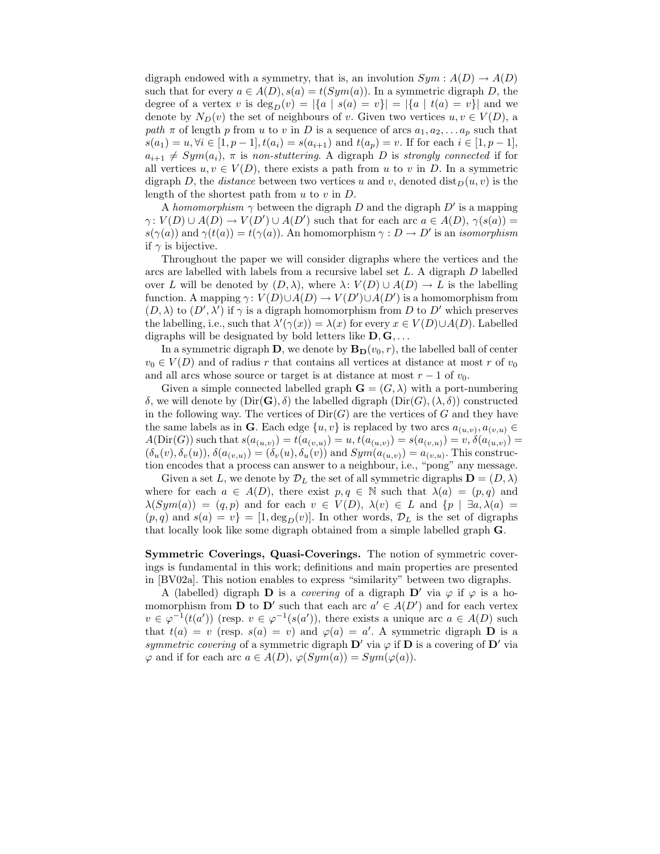digraph endowed with a symmetry, that is, an involution  $Sym : A(D) \rightarrow A(D)$ such that for every  $a \in A(D)$ ,  $s(a) = t(Sym(a))$ . In a symmetric digraph D, the degree of a vertex v is  $\deg_D(v) = |\{a \mid s(a) = v\}| = |\{a \mid t(a) = v\}|$  and we denote by  $N_D(v)$  the set of neighbours of v. Given two vertices  $u, v \in V(D)$ , a path  $\pi$  of length p from u to v in D is a sequence of arcs  $a_1, a_2, \ldots a_p$  such that  $s(a_1) = u, \forall i \in [1, p-1], t(a_i) = s(a_{i+1})$  and  $t(a_p) = v$ . If for each  $i \in [1, p-1],$  $a_{i+1} \neq Sym(a_i), \pi$  is non-stuttering. A digraph D is strongly connected if for all vertices  $u, v \in V(D)$ , there exists a path from u to v in D. In a symmetric digraph D, the *distance* between two vertices u and v, denoted  $dist_D(u, v)$  is the length of the shortest path from  $u$  to  $v$  in  $D$ .

A homomorphism  $\gamma$  between the digraph D and the digraph D' is a mapping  $\gamma: V(D) \cup A(D) \to V(D') \cup A(D')$  such that for each arc  $a \in A(D)$ ,  $\gamma(s(a)) =$  $s(\gamma(a))$  and  $\gamma(t(a)) = t(\gamma(a))$ . An homomorphism  $\gamma : D \to D'$  is an *isomorphism* if  $\gamma$  is bijective.

Throughout the paper we will consider digraphs where the vertices and the arcs are labelled with labels from a recursive label set L. A digraph D labelled over L will be denoted by  $(D, \lambda)$ , where  $\lambda: V(D) \cup A(D) \to L$  is the labelling function. A mapping  $\gamma: V(D) \cup A(D) \to V(D') \cup A(D')$  is a homomorphism from  $(D, \lambda)$  to  $(D', \lambda')$  if  $\gamma$  is a digraph homomorphism from D to D' which preserves the labelling, i.e., such that  $\lambda'(\gamma(x)) = \lambda(x)$  for every  $x \in V(D) \cup A(D)$ . Labelled digraphs will be designated by bold letters like  $D, G, \ldots$ 

In a symmetric digraph  $\mathbf{D}$ , we denote by  $\mathbf{B}_{\mathbf{D}}(v_0, r)$ , the labelled ball of center  $v_0 \in V(D)$  and of radius r that contains all vertices at distance at most r of  $v_0$ and all arcs whose source or target is at distance at most  $r - 1$  of  $v_0$ .

Given a simple connected labelled graph  $\mathbf{G} = (G, \lambda)$  with a port-numbering δ, we will denote by (Dir(G), δ) the labelled digraph (Dir(G),(λ, δ)) constructed in the following way. The vertices of  $Dir(G)$  are the vertices of G and they have the same labels as in **G**. Each edge  $\{u, v\}$  is replaced by two arcs  $a_{(u,v)}, a_{(v,u)} \in$  $A(\text{Dir}(G))$  such that  $s(a_{(u,v)}) = t(a_{(v,u)}) = u, t(a_{(u,v)}) = s(a_{(v,u)}) = v, \delta(a_{(u,v)}) = v$  $(\delta_u(v), \delta_v(u)), \delta(a_{(v,u)}) = (\delta_v(u), \delta_u(v))$  and  $Sym(a_{(u,v)}) = a_{(v,u)}$ . This construction encodes that a process can answer to a neighbour, i.e., "pong" any message.

Given a set L, we denote by  $\mathcal{D}_L$  the set of all symmetric digraphs  $\mathbf{D} = (D, \lambda)$ where for each  $a \in A(D)$ , there exist  $p, q \in \mathbb{N}$  such that  $\lambda(a) = (p, q)$  and  $\lambda(Sym(a)) = (q, p)$  and for each  $v \in V(D)$ ,  $\lambda(v) \in L$  and  $\{p \mid \exists a, \lambda(a) =$  $(p, q)$  and  $s(a) = v$  = [1, deg<sub>D</sub>(v)]. In other words,  $\mathcal{D}_L$  is the set of digraphs that locally look like some digraph obtained from a simple labelled graph G.

Symmetric Coverings, Quasi-Coverings. The notion of symmetric coverings is fundamental in this work; definitions and main properties are presented in [BV02a]. This notion enables to express "similarity" between two digraphs.

A (labelled) digraph **D** is a *covering* of a digraph  $D'$  via  $\varphi$  if  $\varphi$  is a homomorphism from **D** to **D'** such that each arc  $a' \in A(D')$  and for each vertex  $v \in \varphi^{-1}(t(a'))$  (resp.  $v \in \varphi^{-1}(s(a'))$ , there exists a unique arc  $a \in A(D)$  such that  $t(a) = v$  (resp.  $s(a) = v$ ) and  $\varphi(a) = a'$ . A symmetric digraph **D** is a symmetric covering of a symmetric digraph  $\mathbf{D}'$  via  $\varphi$  if  $\mathbf{D}$  is a covering of  $\mathbf{D}'$  via  $\varphi$  and if for each arc  $a \in A(D)$ ,  $\varphi(Sym(a)) = Sym(\varphi(a))$ .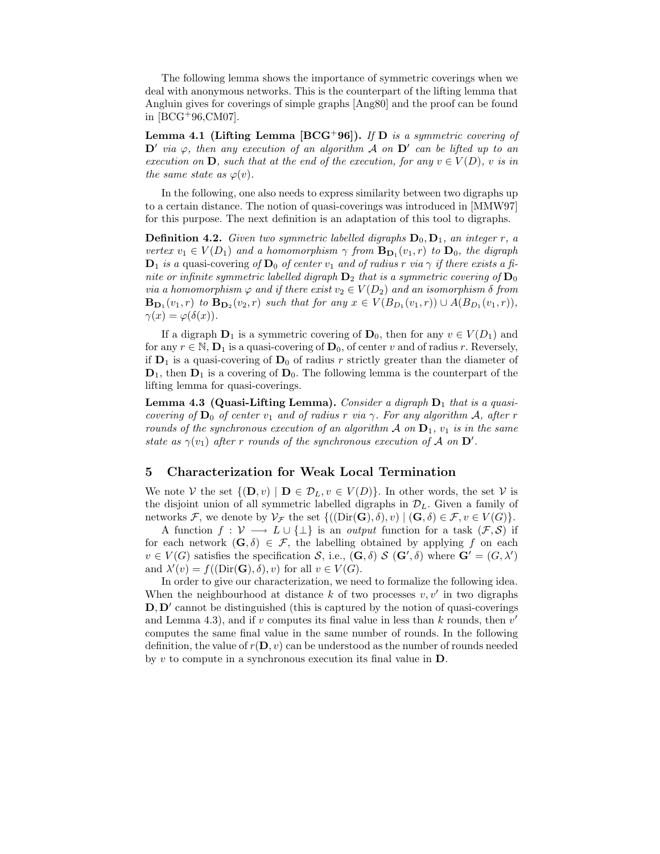The following lemma shows the importance of symmetric coverings when we deal with anonymous networks. This is the counterpart of the lifting lemma that Angluin gives for coverings of simple graphs [Ang80] and the proof can be found in  $[BCG^+96, CM07]$ .

Lemma 4.1 (Lifting Lemma [BCG+96]). If D is a symmetric covering of  $\mathbf{D}'$  via  $\varphi$ , then any execution of an algorithm  $\mathcal A$  on  $\mathbf{D}'$  can be lifted up to an execution on **D**, such that at the end of the execution, for any  $v \in V(D)$ , v is in the same state as  $\varphi(v)$ .

In the following, one also needs to express similarity between two digraphs up to a certain distance. The notion of quasi-coverings was introduced in [MMW97] for this purpose. The next definition is an adaptation of this tool to digraphs.

**Definition 4.2.** Given two symmetric labelled digraphs  $D_0, D_1$ , an integer r, a vertex  $v_1 \in V(D_1)$  and a homomorphism  $\gamma$  from  $\mathbf{B}_{\mathbf{D}_1}(v_1,r)$  to  $\mathbf{D}_0$ , the digraph  **is a quasi-covering of**  $**D**<sub>0</sub>$  **of center**  $v_1$  **and of radius r via**  $\gamma$  **if there exists a fi**nite or infinite symmetric labelled digraph  $\mathbf{D}_2$  that is a symmetric covering of  $\mathbf{D}_0$ via a homomorphism  $\varphi$  and if there exist  $v_2 \in V(D_2)$  and an isomorphism  $\delta$  from  $\mathbf{B_{D_1}}(v_1,r)$  to  $\mathbf{B_{D_2}}(v_2,r)$  such that for any  $x \in V(B_{D_1}(v_1,r)) \cup A(B_{D_1}(v_1,r)),$  $\gamma(x) = \varphi(\delta(x)).$ 

If a digraph  $\mathbf{D}_1$  is a symmetric covering of  $\mathbf{D}_0$ , then for any  $v \in V(D_1)$  and for any  $r \in \mathbb{N}$ ,  $D_1$  is a quasi-covering of  $D_0$ , of center v and of radius r. Reversely, if  $D_1$  is a quasi-covering of  $D_0$  of radius r strictly greater than the diameter of  $D_1$ , then  $D_1$  is a covering of  $D_0$ . The following lemma is the counterpart of the lifting lemma for quasi-coverings.

Lemma 4.3 (Quasi-Lifting Lemma). Consider a digraph  $D_1$  that is a quasicovering of  $D_0$  of center  $v_1$  and of radius r via  $\gamma$ . For any algorithm A, after r rounds of the synchronous execution of an algorithm  $\mathcal A$  on  $\mathbf D_1$ ,  $v_1$  is in the same state as  $\gamma(v_1)$  after r rounds of the synchronous execution of A on  $\mathbf{D}'$ .

# 5 Characterization for Weak Local Termination

We note V the set  $\{(\mathbf{D}, v) \mid \mathbf{D} \in \mathcal{D}_L, v \in V(D)\}\)$ . In other words, the set V is the disjoint union of all symmetric labelled digraphs in  $\mathcal{D}_L$ . Given a family of networks F, we denote by  $\mathcal{V}_{\mathcal{F}}$  the set  $\{((\text{Dir}(\mathbf{G}), \delta), v) \mid (\mathbf{G}, \delta) \in \mathcal{F}, v \in V(G)\}.$ 

A function  $f: V \longrightarrow L \cup \{\perp\}$  is an *output* function for a task  $(\mathcal{F}, \mathcal{S})$  if for each network  $(G, \delta) \in \mathcal{F}$ , the labelling obtained by applying f on each  $v \in V(G)$  satisfies the specification S, i.e.,  $(\mathbf{G}, \delta)$  S  $(\mathbf{G}', \delta)$  where  $\mathbf{G}' = (G, \lambda')$ and  $\lambda'(v) = f((\text{Dir}(\mathbf{G}), \delta), v)$  for all  $v \in V(G)$ .

In order to give our characterization, we need to formalize the following idea. When the neighbourhood at distance  $k$  of two processes  $v, v'$  in two digraphs D, D' cannot be distinguished (this is captured by the notion of quasi-coverings and Lemma 4.3), and if  $v$  computes its final value in less than  $k$  rounds, then  $v'$ computes the same final value in the same number of rounds. In the following definition, the value of  $r(\mathbf{D}, v)$  can be understood as the number of rounds needed by  $v$  to compute in a synchronous execution its final value in  $D$ .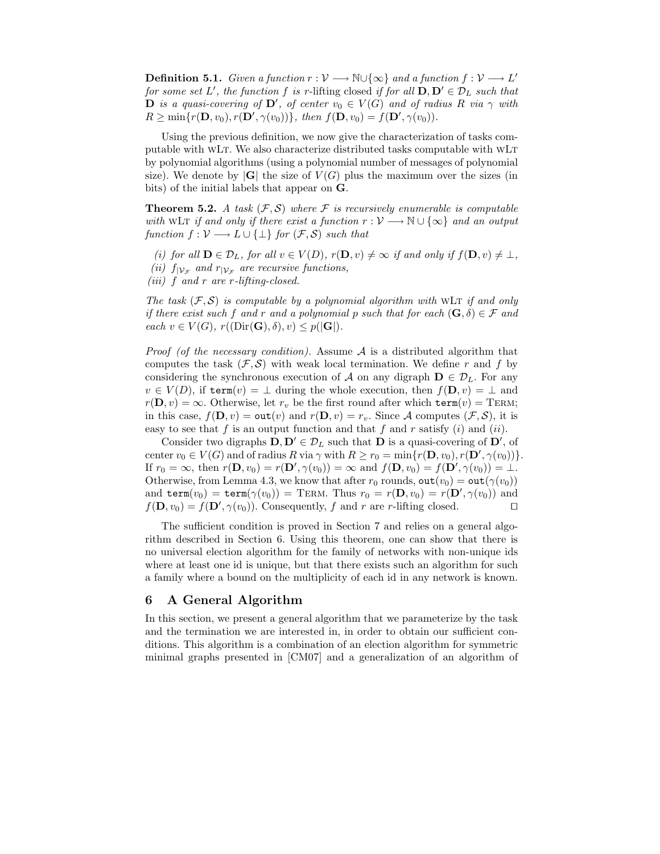**Definition 5.1.** Given a function  $r : V \longrightarrow \mathbb{N} \cup \{\infty\}$  and a function  $f : V \longrightarrow L'$ for some set L', the function f is r-lifting closed if for all  $D, D' \in \mathcal{D}_L$  such that **D** is a quasi-covering of  $\mathbf{D}'$ , of center  $v_0 \in V(G)$  and of radius R via  $\gamma$  with  $R \ge \min\{r(\mathbf{D}, v_0), r(\mathbf{D}', \gamma(v_0))\},\$  then  $f(\mathbf{D}, v_0) = f(\mathbf{D}', \gamma(v_0)).$ 

Using the previous definition, we now give the characterization of tasks computable with wLt. We also characterize distributed tasks computable with wLt by polynomial algorithms (using a polynomial number of messages of polynomial size). We denote by  $|G|$  the size of  $V(G)$  plus the maximum over the sizes (in bits) of the initial labels that appear on G.

**Theorem 5.2.** A task  $(F, \mathcal{S})$  where F is recursively enumerable is computable with WLT if and only if there exist a function  $r: V \longrightarrow \mathbb{N} \cup {\infty}$  and an output function  $f: \mathcal{V} \longrightarrow L \cup \{\perp\}$  for  $(\mathcal{F}, \mathcal{S})$  such that

- (i) for all  $D \in \mathcal{D}_L$ , for all  $v \in V(D)$ ,  $r(D, v) \neq \infty$  if and only if  $f(D, v) \neq \perp$ ,
- (ii)  $f_{|\mathcal{V}_{\mathcal{F}}}$  and  $r_{|\mathcal{V}_{\mathcal{F}}}$  are recursive functions,
- (iii)  $f$  and  $r$  are  $r$ -lifting-closed.

The task  $(\mathcal{F}, \mathcal{S})$  is computable by a polynomial algorithm with WLT if and only if there exist such f and r and a polynomial p such that for each  $(G, \delta) \in \mathcal{F}$  and each  $v \in V(G)$ ,  $r((\text{Dir}(\mathbf{G}), \delta), v) \leq p(|\mathbf{G}|)$ .

*Proof (of the necessary condition).* Assume  $A$  is a distributed algorithm that computes the task  $(\mathcal{F}, \mathcal{S})$  with weak local termination. We define r and f by considering the synchronous execution of A on any digraph  $\mathbf{D} \in \mathcal{D}_L$ . For any  $v \in V(D)$ , if term $(v) = \perp$  during the whole execution, then  $f(\mathbf{D}, v) = \perp$  and  $r(\mathbf{D}, v) = \infty$ . Otherwise, let  $r_v$  be the first round after which term $(v) = \text{TERM}$ ; in this case,  $f(\mathbf{D}, v) = \text{out}(v)$  and  $r(\mathbf{D}, v) = r_v$ . Since A computes  $(\mathcal{F}, \mathcal{S})$ , it is easy to see that f is an output function and that f and r satisfy  $(i)$  and  $(ii)$ .

Consider two digraphs  $D, D' \in \mathcal{D}_L$  such that D is a quasi-covering of D', of center  $v_0 \in V(G)$  and of radius R via  $\gamma$  with  $R \ge r_0 = \min\{r(\mathbf{D}, v_0), r(\mathbf{D}', \gamma(v_0))\}.$ If  $r_0 = \infty$ , then  $r(\mathbf{D}, v_0) = r(\mathbf{D}', \gamma(v_0)) = \infty$  and  $f(\mathbf{D}, v_0) = f(\mathbf{D}', \gamma(v_0)) = \perp$ . Otherwise, from Lemma 4.3, we know that after  $r_0$  rounds,  $\text{out}(v_0) = \text{out}(\gamma(v_0))$ and term $(v_0)$  = term $(\gamma(v_0))$  = TERM. Thus  $r_0$  =  $r(\mathbf{D}, v_0)$  =  $r(\mathbf{D}', \gamma(v_0))$  and  $f(\mathbf{D}, v_0) = f(\mathbf{D}', \gamma(v_0))$ . Consequently, f and r are r-lifting closed. □

The sufficient condition is proved in Section 7 and relies on a general algorithm described in Section 6. Using this theorem, one can show that there is no universal election algorithm for the family of networks with non-unique ids where at least one id is unique, but that there exists such an algorithm for such a family where a bound on the multiplicity of each id in any network is known.

### 6 A General Algorithm

In this section, we present a general algorithm that we parameterize by the task and the termination we are interested in, in order to obtain our sufficient conditions. This algorithm is a combination of an election algorithm for symmetric minimal graphs presented in [CM07] and a generalization of an algorithm of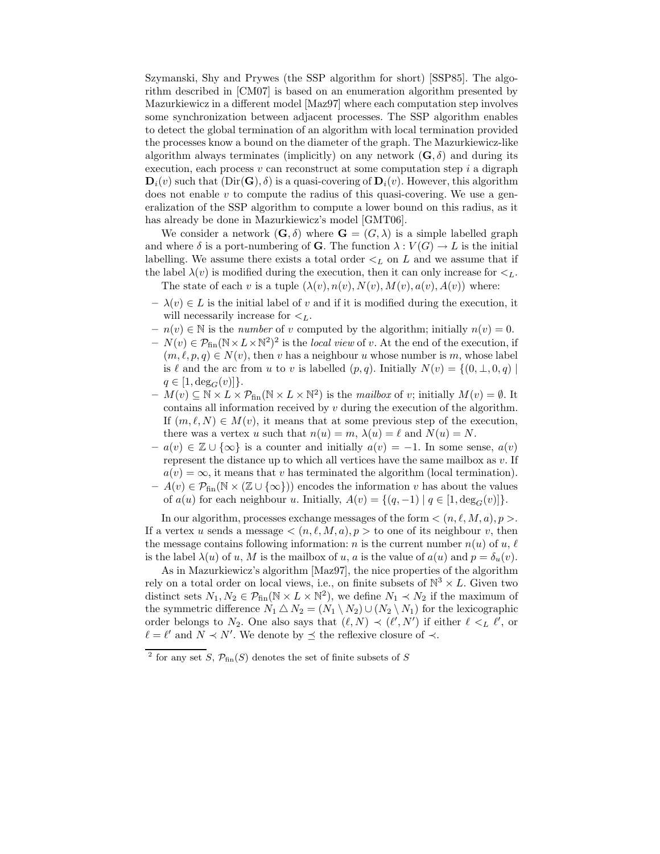Szymanski, Shy and Prywes (the SSP algorithm for short) [SSP85]. The algorithm described in [CM07] is based on an enumeration algorithm presented by Mazurkiewicz in a different model [Maz97] where each computation step involves some synchronization between adjacent processes. The SSP algorithm enables to detect the global termination of an algorithm with local termination provided the processes know a bound on the diameter of the graph. The Mazurkiewicz-like algorithm always terminates (implicitly) on any network  $(G, \delta)$  and during its execution, each process  $v$  can reconstruct at some computation step  $i$  a digraph  $\mathbf{D}_i(v)$  such that  $(\text{Dir}(\mathbf{G}), \delta)$  is a quasi-covering of  $\mathbf{D}_i(v)$ . However, this algorithm does not enable  $v$  to compute the radius of this quasi-covering. We use a generalization of the SSP algorithm to compute a lower bound on this radius, as it has already be done in Mazurkiewicz's model [GMT06].

We consider a network  $(G, \delta)$  where  $G = (G, \lambda)$  is a simple labelled graph and where  $\delta$  is a port-numbering of **G**. The function  $\lambda: V(G) \to L$  is the initial labelling. We assume there exists a total order  $\lt_L$  on L and we assume that if the label  $\lambda(v)$  is modified during the execution, then it can only increase for  $\lt_L$ .

The state of each v is a tuple  $(\lambda(v), n(v), N(v), M(v), a(v), A(v))$  where:

- $-\lambda(v) \in L$  is the initial label of v and if it is modified during the execution, it will necessarily increase for  $\lt_L$ .
- $n(v) \in \mathbb{N}$  is the *number* of v computed by the algorithm; initially  $n(v) = 0$ .
- $N(v) \in \mathcal{P}_{fin}(\mathbb{N} \times L \times \mathbb{N}^2)^2$  is the *local view* of v. At the end of the execution, if  $(m, \ell, p, q) \in N(v)$ , then v has a neighbour u whose number is m, whose label is  $\ell$  and the arc from u to v is labelled  $(p, q)$ . Initially  $N(v) = \{(0, \perp, 0, q) \mid$  $q \in [1, \deg_G(v)]\}.$
- $M(v) \subseteq \mathbb{N} \times L \times \mathcal{P}_{fin}(\mathbb{N} \times L \times \mathbb{N}^2)$  is the mailbox of v; initially  $M(v) = \emptyset$ . It contains all information received by  $v$  during the execution of the algorithm. If  $(m, \ell, N) \in M(v)$ , it means that at some previous step of the execution, there was a vertex u such that  $n(u) = m$ ,  $\lambda(u) = \ell$  and  $N(u) = N$ .
- $a(v) \in \mathbb{Z} \cup \{\infty\}$  is a counter and initially  $a(v) = -1$ . In some sense,  $a(v)$ represent the distance up to which all vertices have the same mailbox as  $v$ . If  $a(v) = \infty$ , it means that v has terminated the algorithm (local termination).
- $A(v) \in \mathcal{P}_{fin}(\mathbb{N} \times (\mathbb{Z} \cup {\infty}))$  encodes the information v has about the values of  $a(u)$  for each neighbour u. Initially,  $A(v) = \{(q, -1) | q \in [1, \deg_G(v)]\}.$

In our algorithm, processes exchange messages of the form  $\langle n, \ell, M, a \rangle$ ,  $p >$ . If a vertex u sends a message  $\langle (n, \ell, M, a), p \rangle$  to one of its neighbour v, then the message contains following information: n is the current number  $n(u)$  of  $u, \ell$ is the label  $\lambda(u)$  of u, M is the mailbox of u, a is the value of  $a(u)$  and  $p = \delta_u(v)$ .

As in Mazurkiewicz's algorithm [Maz97], the nice properties of the algorithm rely on a total order on local views, i.e., on finite subsets of  $\mathbb{N}^3 \times L$ . Given two distinct sets  $N_1, N_2 \in \mathcal{P}_{fin}(\mathbb{N} \times L \times \mathbb{N}^2)$ , we define  $N_1 \prec N_2$  if the maximum of the symmetric difference  $N_1 \triangle N_2 = (N_1 \setminus N_2) \cup (N_2 \setminus N_1)$  for the lexicographic order belongs to  $N_2$ . One also says that  $(\ell, N) \prec (\ell', N')$  if either  $\ell \prec_L \ell'$ , or  $\ell = \ell'$  and  $N \prec N'$ . We denote by  $\preceq$  the reflexive closure of  $\prec$ .

<sup>&</sup>lt;sup>2</sup> for any set S,  $\mathcal{P}_{fin}(S)$  denotes the set of finite subsets of S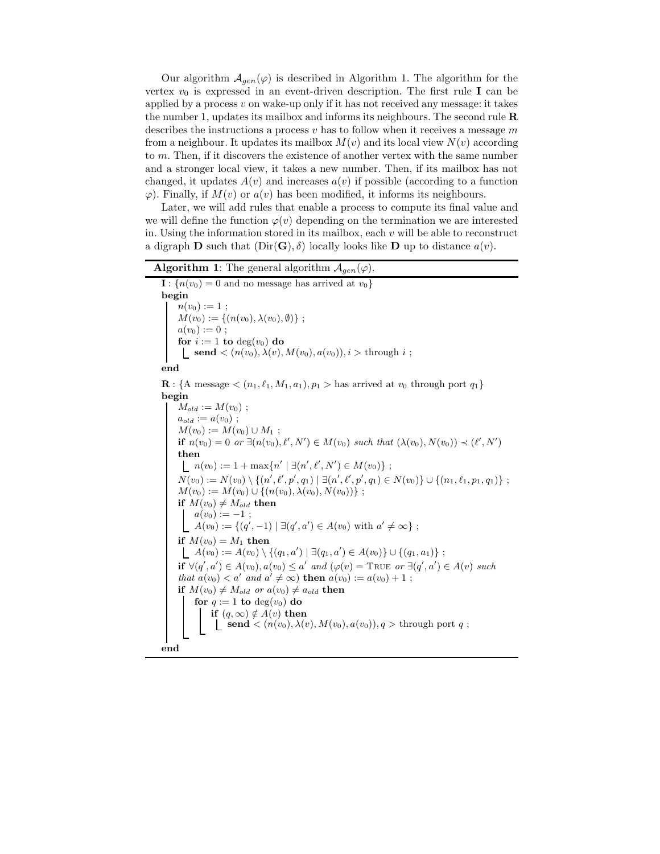Our algorithm  $A_{gen}(\varphi)$  is described in Algorithm 1. The algorithm for the vertex  $v_0$  is expressed in an event-driven description. The first rule I can be applied by a process  $v$  on wake-up only if it has not received any message: it takes the number 1, updates its mailbox and informs its neighbours. The second rule  $\bf R$ describes the instructions a process  $v$  has to follow when it receives a message  $m$ from a neighbour. It updates its mailbox  $M(v)$  and its local view  $N(v)$  according to m. Then, if it discovers the existence of another vertex with the same number and a stronger local view, it takes a new number. Then, if its mailbox has not changed, it updates  $A(v)$  and increases  $a(v)$  if possible (according to a function  $\varphi$ ). Finally, if  $M(v)$  or  $a(v)$  has been modified, it informs its neighbours.

Later, we will add rules that enable a process to compute its final value and we will define the function  $\varphi(v)$  depending on the termination we are interested in. Using the information stored in its mailbox, each  $v$  will be able to reconstruct a digraph **D** such that  $(\text{Dir}(\mathbf{G}), \delta)$  locally looks like **D** up to distance  $a(v)$ .

```
Algorithm 1: The general algorithm A_{gen}(\varphi).
 \mathbf{I}: \{n(v_0)=0\} and no message has arrived at v_0\}begin
      n(v_0) := 1;M(v_0) := \{(n(v_0), \lambda(v_0), \emptyset)\};a(v_0) := 0;for i := 1 to deg(v_0) do
       \Box send \lt (n(v_0), \lambda(v), M(v_0), a(v_0)), i > through i;
end
\mathbf{R}: {A message \langle (n_1, \ell_1, M_1, a_1), p_1 \rangle has arrived at v_0 through port q_1}
begin
      M_{old} := M(v_0);
      a_{old} := a(v_0);
      M(v_0) := M(v_0) \cup M_1;if n(v_0) = 0 or \exists (n(v_0), \ell', N') \in M(v_0) such that (\lambda(v_0), N(v_0)) \prec (\ell', N')then
           n(v_0) := 1 + \max\{n' \mid \exists (n', \ell', N') \in M(v_0)\}\;;N(v_0) := N(v_0) \setminus \{ (n', \ell', p', q_1) \mid \exists (n', \ell', p', q_1) \in N(v_0) \} \cup \{ (n_1, \ell_1, p_1, q_1) \} ;M(v_0) := M(v_0) \cup \{(n(v_0), \lambda(v_0), N(v_0))\};if M(v_0) \neq M_{old} then
          a(v_0) := -1;A(v_0) := \{(q', -1) | \exists (q', a') \in A(v_0) \text{ with } a' \neq \infty \};if M(v_0) = M_1 then
           A(v_0) := A(v_0) \setminus \{(q_1, a') \mid \exists (q_1, a') \in A(v_0)\} \cup \{(q_1, a_1)\};if \forall (q', a') \in A(v_0), a(v_0) \leq a' and (\varphi(v) = \text{TRUE or } \exists (q', a') \in A(v) such
      that a(v_0) < a' and a' \neq \infty) then a(v_0) := a(v_0) + 1;
      if M(v_0) \neq M_{old} or a(v_0) \neq a_{old} then
           for q := 1 to deg(v_0) do
               if (q, \infty) \notin A(v) then
                 send \langle n(v_0), \lambda(v), M(v_0), a(v_0) \rangle, q> through port q;
end
```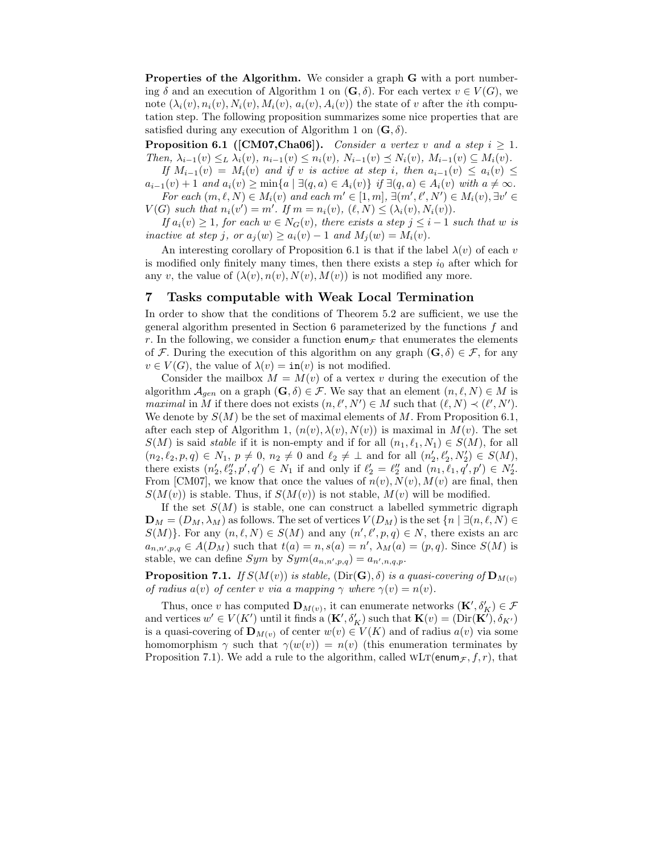Properties of the Algorithm. We consider a graph G with a port numbering  $\delta$  and an execution of Algorithm 1 on  $(G, \delta)$ . For each vertex  $v \in V(G)$ , we note  $(\lambda_i(v), n_i(v), N_i(v), M_i(v), a_i(v), A_i(v))$  the state of v after the *i*th computation step. The following proposition summarizes some nice properties that are satisfied during any execution of Algorithm 1 on  $(G, \delta)$ .

**Proposition 6.1** ([CM07,Cha06]). Consider a vertex v and a step  $i \geq 1$ . Then,  $\lambda_{i-1}(v) \leq L \lambda_i(v)$ ,  $n_{i-1}(v) \leq n_i(v)$ ,  $N_{i-1}(v) \leq N_i(v)$ ,  $M_{i-1}(v) \subseteq M_i(v)$ .

If  $M_{i-1}(v) = M_i(v)$  and if v is active at step i, then  $a_{i-1}(v) \leq a_i(v) \leq$  $a_{i-1}(v) + 1$  and  $a_i(v) \ge \min\{a \mid \exists (q, a) \in A_i(v)\}$  if  $\exists (q, a) \in A_i(v)$  with  $a \ne \infty$ . For each  $(m, \ell, N) \in M_i(v)$  and each  $m' \in [1, m]$ ,  $\exists (m', \ell', N') \in M_i(v)$ ,  $\exists v' \in$ 

 $V(G)$  such that  $n_i(v') = m'$ . If  $m = n_i(v)$ ,  $(\ell, N) \leq (\lambda_i(v), N_i(v))$ .

If  $a_i(v) \geq 1$ , for each  $w \in N_G(v)$ , there exists a step  $j \leq i-1$  such that w is inactive at step j, or  $a_i(w) \ge a_i(v) - 1$  and  $M_i(w) = M_i(v)$ .

An interesting corollary of Proposition 6.1 is that if the label  $\lambda(v)$  of each v is modified only finitely many times, then there exists a step  $i_0$  after which for any v, the value of  $(\lambda(v), n(v), N(v), M(v))$  is not modified any more.

#### 7 Tasks computable with Weak Local Termination

In order to show that the conditions of Theorem 5.2 are sufficient, we use the general algorithm presented in Section 6 parameterized by the functions f and r. In the following, we consider a function enumerative that enumerates the elements of F. During the execution of this algorithm on any graph  $(G, \delta) \in \mathcal{F}$ , for any  $v \in V(G)$ , the value of  $\lambda(v) = \text{in}(v)$  is not modified.

Consider the mailbox  $M = M(v)$  of a vertex v during the execution of the algorithm  $A_{gen}$  on a graph  $(G, \delta) \in \mathcal{F}$ . We say that an element  $(n, \ell, N) \in M$  is *maximal* in M if there does not exists  $(n, \ell', N') \in M$  such that  $(\ell, N) \prec (\ell', N')$ . We denote by  $S(M)$  be the set of maximal elements of M. From Proposition 6.1, after each step of Algorithm 1,  $(n(v), \lambda(v), N(v))$  is maximal in  $M(v)$ . The set  $S(M)$  is said *stable* if it is non-empty and if for all  $(n_1, \ell_1, N_1) \in S(M)$ , for all  $(n_2, \ell_2, p, q) \in N_1$ ,  $p \neq 0$ ,  $n_2 \neq 0$  and  $\ell_2 \neq \bot$  and for all  $(n'_2, \ell'_2, N'_2) \in S(M)$ , there exists  $(n'_2, \ell''_2, p', q') \in N_1$  if and only if  $\ell'_2 = \ell''_2$  and  $(n_1, \ell_1, q', p') \in N'_2$ . From [CM07], we know that once the values of  $n(v)$ ,  $N(v)$ ,  $M(v)$  are final, then  $S(M(v))$  is stable. Thus, if  $S(M(v))$  is not stable,  $M(v)$  will be modified.

If the set  $S(M)$  is stable, one can construct a labelled symmetric digraph  $\mathbf{D}_M = (D_M, \lambda_M)$  as follows. The set of vertices  $V(D_M)$  is the set  $\{n \mid \exists (n, \ell, N) \in$  $S(M)$ . For any  $(n, \ell, N) \in S(M)$  and any  $(n', \ell', p, q) \in N$ , there exists an arc  $a_{n,n',p,q} \in A(D_M)$  such that  $t(a) = n, s(a) = n', \lambda_M(a) = (p,q)$ . Since  $S(M)$  is stable, we can define  $Sym$  by  $Sym(a_{n,n',p,q}) = a_{n',n,q,p}$ .

**Proposition 7.1.** If  $S(M(v))$  is stable,  $(\text{Dir}(\mathbf{G}), \delta)$  is a quasi-covering of  $\mathbf{D}_{M(v)}$ of radius  $a(v)$  of center v via a mapping  $\gamma$  where  $\gamma(v) = n(v)$ .

Thus, once v has computed  $\mathbf{D}_{M(v)}$ , it can enumerate networks  $(\mathbf{K}', \delta'_K) \in \mathcal{F}$ and vertices  $w' \in V(K')$  until it finds a  $(\mathbf{K}', \delta'_K)$  such that  $\mathbf{K}(v) = (\text{Dir}(\mathbf{K}'), \delta_{K'})$ is a quasi-covering of  $\mathbf{D}_{M(v)}$  of center  $w(v) \in V(K)$  and of radius  $a(v)$  via some homomorphism  $\gamma$  such that  $\gamma(w(v)) = n(v)$  (this enumeration terminates by Proposition 7.1). We add a rule to the algorithm, called  $WLT$ (enum $\mathcal{F}, f, r$ ), that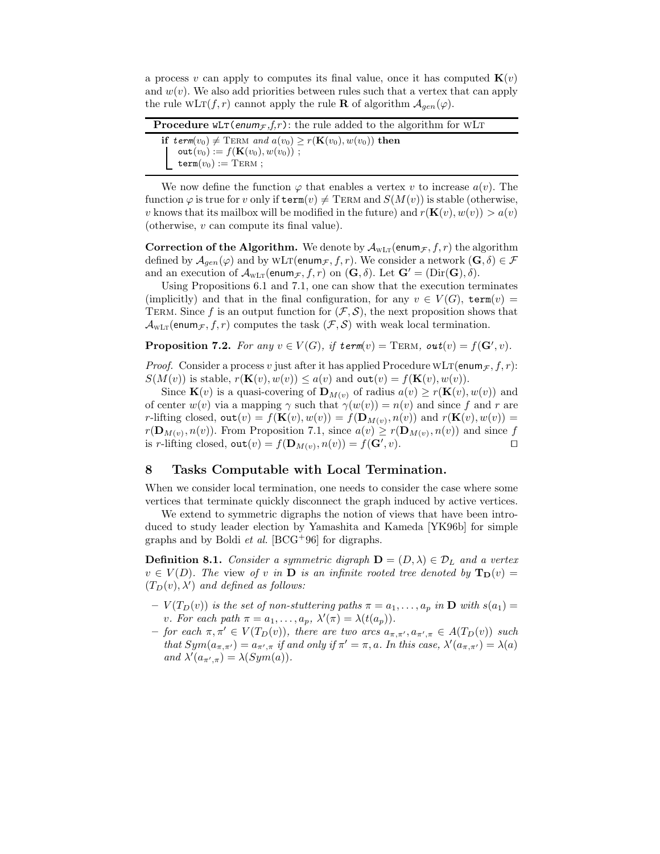a process v can apply to computes its final value, once it has computed  $\mathbf{K}(v)$ and  $w(v)$ . We also add priorities between rules such that a vertex that can apply the rule wLT(f, r) cannot apply the rule **R** of algorithm  $A_{gen}(\varphi)$ .

| <b>Procedure <math>WLT</math></b> (enum <sub><math>F</math></sub> , f, r): the rule added to the algorithm for $WLT$                        |
|---------------------------------------------------------------------------------------------------------------------------------------------|
| if $term(v_0) \neq \text{TERM}$ and $a(v_0) \geq r(\mathbf{K}(v_0), w(v_0))$ then<br>$\mathtt{out}(v_0) := f(\mathbf{K}(v_0), w(v_0)) \; ;$ |
| $\texttt{term}(v_0) := \text{TERM};$                                                                                                        |

We now define the function  $\varphi$  that enables a vertex v to increase  $a(v)$ . The function  $\varphi$  is true for v only if  $\texttt{term}(v) \neq \texttt{Term}$  and  $S(M(v))$  is stable (otherwise, v knows that its mailbox will be modified in the future) and  $r(K(v), w(v)) > a(v)$ (otherwise, v can compute its final value).

Correction of the Algorithm. We denote by  $\mathcal{A}_{\text{WLT}}$  (enum  $\mathcal{F}, f, r$ ) the algorithm defined by  $\mathcal{A}_{gen}(\varphi)$  and by  $WLT(\text{enum}_{\mathcal{F}}, f, r)$ . We consider a network  $(\mathbf{G}, \delta) \in \mathcal{F}$ and an execution of  $\mathcal{A}_{\text{WLT}}(\text{enum}_{\mathcal{F}}, f, r)$  on  $(\mathbf{G}, \delta)$ . Let  $\mathbf{G}' = (\text{Dir}(\mathbf{G}), \delta)$ .

Using Propositions 6.1 and 7.1, one can show that the execution terminates (implicitly) and that in the final configuration, for any  $v \in V(G)$ , term $(v)$  = TERM. Since f is an output function for  $(\mathcal{F}, \mathcal{S})$ , the next proposition shows that  $\mathcal{A}_{\text{wLT}}(\text{enum}_{\mathcal{F}}, f, r)$  computes the task  $(\mathcal{F}, \mathcal{S})$  with weak local termination.

**Proposition 7.2.** For any  $v \in V(G)$ , if  $term(v) = Term$ ,  $out(v) = f(\mathbf{G}', v)$ .

*Proof.* Consider a process v just after it has applied Procedure  $WLT$  (enum  $\mathcal{F}, f, r$ ):  $S(M(v))$  is stable,  $r(\mathbf{K}(v), w(v)) \leq a(v)$  and  $\text{out}(v) = f(\mathbf{K}(v), w(v))$ .

Since  $\mathbf{K}(v)$  is a quasi-covering of  $\mathbf{D}_{M(v)}$  of radius  $a(v) \geq r(\mathbf{K}(v), w(v))$  and of center  $w(v)$  via a mapping  $\gamma$  such that  $\gamma(w(v)) = n(v)$  and since f and r are r-lifting closed,  $\text{out}(v) = f(\mathbf{K}(v), w(v)) = f(\mathbf{D}_{M(v)}, n(v))$  and  $r(\mathbf{K}(v), w(v)) =$  $r(\mathbf{D}_{M(v)}, n(v))$ . From Proposition 7.1, since  $a(v) \geq r(\mathbf{D}_{M(v)}, n(v))$  and since f is r-lifting closed,  $\text{out}(v) = f(\mathbf{D}_{M(v)}, n(v)) = f(\mathbf{G}', v)$ .

## 8 Tasks Computable with Local Termination.

When we consider local termination, one needs to consider the case where some vertices that terminate quickly disconnect the graph induced by active vertices.

We extend to symmetric digraphs the notion of views that have been introduced to study leader election by Yamashita and Kameda [YK96b] for simple graphs and by Boldi *et al.*  $[BCG+96]$  for digraphs.

**Definition 8.1.** Consider a symmetric digraph  $\mathbf{D} = (D, \lambda) \in \mathcal{D}_L$  and a vertex  $v \in V(D)$ . The view of v in **D** is an infinite rooted tree denoted by  $\mathbf{T_D}(v)$  =  $(T_D(v), \lambda')$  and defined as follows:

- $V(T_D(v))$  is the set of non-stuttering paths  $\pi = a_1, \ldots, a_p$  in **D** with  $s(a_1) =$ v. For each path  $\pi = a_1, \ldots, a_p, \lambda'(\pi) = \lambda(t(a_p)).$
- for each  $\pi, \pi' \in V(T_D(v))$ , there are two arcs  $a_{\pi, \pi'}, a_{\pi', \pi} \in A(T_D(v))$  such that  $Sym(a_{\pi,\pi'}) = a_{\pi',\pi}$  if and only if  $\pi' = \pi, a$ . In this case,  $\lambda'(a_{\pi,\pi'}) = \lambda(a)$ and  $\lambda'(a_{\pi',\pi}) = \lambda(Sym(a)).$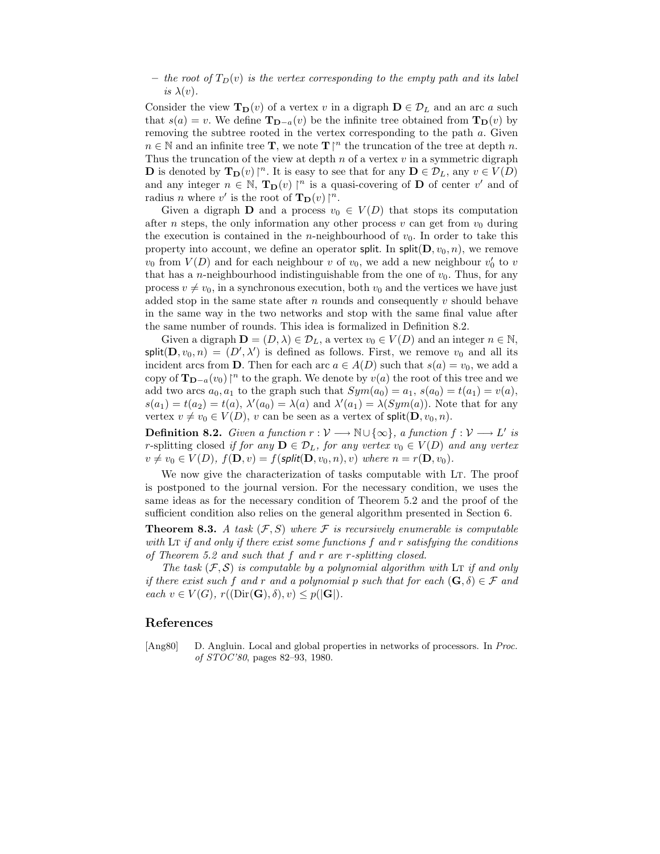#### – the root of  $T_D(v)$  is the vertex corresponding to the empty path and its label is  $\lambda(v)$ .

Consider the view  $\mathbf{T_D}(v)$  of a vertex v in a digraph  $\mathbf{D} \in \mathcal{D}_L$  and an arc a such that  $s(a) = v$ . We define  $\mathbf{T}_{\mathbf{D}-a}(v)$  be the infinite tree obtained from  $\mathbf{T}_{\mathbf{D}}(v)$  by removing the subtree rooted in the vertex corresponding to the path a. Given  $n \in \mathbb{N}$  and an infinite tree **T**, we note **T** |<sup>n</sup> the truncation of the tree at depth n. Thus the truncation of the view at depth n of a vertex  $v$  in a symmetric digraph **D** is denoted by  $\mathbf{T_D}(v) \mid^n$ . It is easy to see that for any  $\mathbf{D} \in \mathcal{D}_L$ , any  $v \in V(D)$ and any integer  $n \in \mathbb{N}$ ,  $\mathbf{T_D}(v)$  |<sup>n</sup> is a quasi-covering of **D** of center v' and of radius *n* where  $v'$  is the root of  $\mathbf{T_D}(v) \upharpoonright^n$ .

Given a digraph **D** and a process  $v_0 \in V(D)$  that stops its computation after *n* steps, the only information any other process v can get from  $v_0$  during the execution is contained in the *n*-neighbourhood of  $v_0$ . In order to take this property into account, we define an operator split. In split( $\mathbf{D}, v_0, n$ ), we remove  $v_0$  from  $V(D)$  and for each neighbour v of  $v_0$ , we add a new neighbour  $v'_0$  to v that has a *n*-neighbourhood indistinguishable from the one of  $v_0$ . Thus, for any process  $v \neq v_0$ , in a synchronous execution, both  $v_0$  and the vertices we have just added stop in the same state after  $n$  rounds and consequently  $v$  should behave in the same way in the two networks and stop with the same final value after the same number of rounds. This idea is formalized in Definition 8.2.

Given a digraph  $\mathbf{D} = (D, \lambda) \in \mathcal{D}_L$ , a vertex  $v_0 \in V(D)$  and an integer  $n \in \mathbb{N}$ , split( $\mathbf{D}, v_0, n$ ) =  $(D', \lambda')$  is defined as follows. First, we remove  $v_0$  and all its incident arcs from **D**. Then for each arc  $a \in A(D)$  such that  $s(a) = v_0$ , we add a copy of  $\mathbf{T}_{\mathbf{D}-a}(v_0)$  |<sup>n</sup> to the graph. We denote by  $v(a)$  the root of this tree and we add two arcs  $a_0, a_1$  to the graph such that  $Sym(a_0) = a_1, s(a_0) = t(a_1) = v(a)$ ,  $s(a_1) = t(a_2) = t(a), \ \lambda'(a_0) = \lambda(a)$  and  $\lambda'(a_1) = \lambda(Sym(a)).$  Note that for any vertex  $v \neq v_0 \in V(D)$ , v can be seen as a vertex of split( $\mathbf{D}, v_0, n$ ).

**Definition 8.2.** Given a function  $r: V \longrightarrow \mathbb{N} \cup \{\infty\}$ , a function  $f: V \longrightarrow L'$  is r-splitting closed if for any  $D \in \mathcal{D}_L$ , for any vertex  $v_0 \in V(D)$  and any vertex  $v \neq v_0 \in V(D)$ ,  $f(\mathbf{D}, v) = f(\text{split}(\mathbf{D}, v_0, n), v)$  where  $n = r(\mathbf{D}, v_0)$ .

We now give the characterization of tasks computable with Lt. The proof is postponed to the journal version. For the necessary condition, we uses the same ideas as for the necessary condition of Theorem 5.2 and the proof of the sufficient condition also relies on the general algorithm presented in Section 6.

**Theorem 8.3.** A task  $(F, S)$  where F is recursively enumerable is computable with  $LT$  if and only if there exist some functions f and r satisfying the conditions of Theorem 5.2 and such that f and r are r-splitting closed.

The task  $(F, S)$  is computable by a polynomial algorithm with LT if and only if there exist such f and r and a polynomial p such that for each  $(G, \delta) \in \mathcal{F}$  and each  $v \in V(G)$ ,  $r((\text{Dir}(\mathbf{G}), \delta), v) \leq p(|\mathbf{G}|)$ .

# References

[Ang80] D. Angluin. Local and global properties in networks of processors. In Proc. of STOC'80, pages 82–93, 1980.